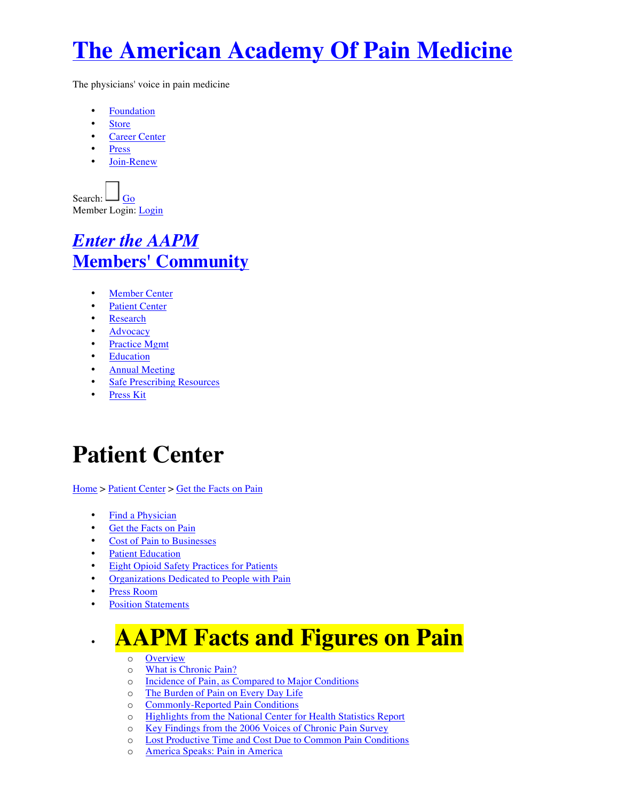# **The American Academy Of Pain Medicine**

The physicians' voice in pain medicine

- Foundation
- Store
- Career Center
- Press
- Join-Renew

Search:  $\Box$  Go Member Login: Login

## *Enter the AAPM* **Members' Community**

- **Member Center**
- Patient Center
- Research
- Advocacy
- Practice Mgmt
- Education
- Annual Meeting
- **Safe Prescribing Resources**
- Press Kit

## **Patient Center**

Home > Patient Center > Get the Facts on Pain

- Find a Physician
- Get the Facts on Pain
- Cost of Pain to Businesses
- Patient Education
- Eight Opioid Safety Practices for Patients
- Organizations Dedicated to People with Pain
- Press Room
- Position Statements

## • **AAPM Facts and Figures on Pain**

- o Overview
- o What is Chronic Pain?
- o Incidence of Pain, as Compared to Major Conditions
- o The Burden of Pain on Every Day Life
- o Commonly-Reported Pain Conditions
- o Highlights from the National Center for Health Statistics Report
- o Key Findings from the 2006 Voices of Chronic Pain Survey
- o Lost Productive Time and Cost Due to Common Pain Conditions
- o America Speaks: Pain in America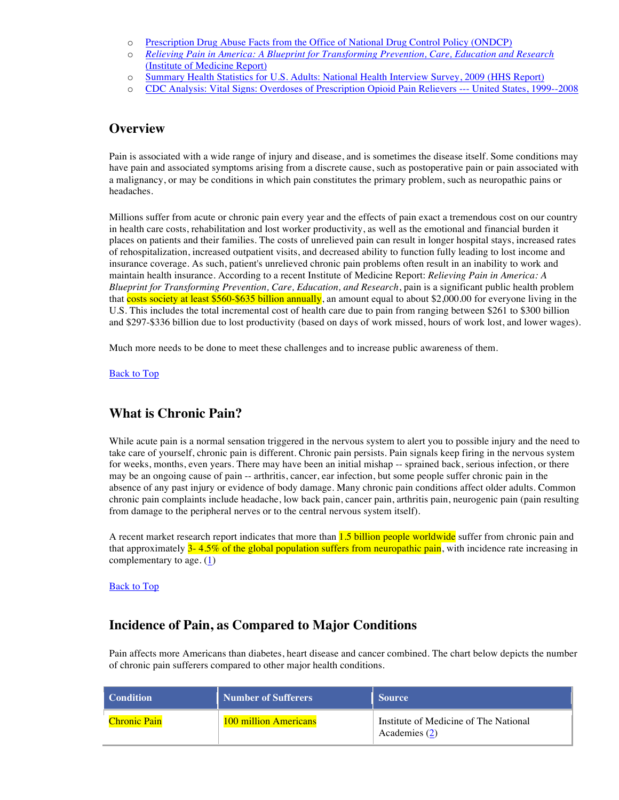- o Prescription Drug Abuse Facts from the Office of National Drug Control Policy (ONDCP)
- o *Relieving Pain in America: A Blueprint for Transforming Prevention, Care, Education and Research* (Institute of Medicine Report)
- o Summary Health Statistics for U.S. Adults: National Health Interview Survey, 2009 (HHS Report)
- o CDC Analysis: Vital Signs: Overdoses of Prescription Opioid Pain Relievers --- United States, 1999--2008

## **Overview**

Pain is associated with a wide range of injury and disease, and is sometimes the disease itself. Some conditions may have pain and associated symptoms arising from a discrete cause, such as postoperative pain or pain associated with a malignancy, or may be conditions in which pain constitutes the primary problem, such as neuropathic pains or headaches.

Millions suffer from acute or chronic pain every year and the effects of pain exact a tremendous cost on our country in health care costs, rehabilitation and lost worker productivity, as well as the emotional and financial burden it places on patients and their families. The costs of unrelieved pain can result in longer hospital stays, increased rates of rehospitalization, increased outpatient visits, and decreased ability to function fully leading to lost income and insurance coverage. As such, patient's unrelieved chronic pain problems often result in an inability to work and maintain health insurance. According to a recent Institute of Medicine Report: *Relieving Pain in America: A Blueprint for Transforming Prevention, Care, Education, and Research*, pain is a significant public health problem that costs society at least \$560-\$635 billion annually, an amount equal to about \$2,000.00 for everyone living in the U.S. This includes the total incremental cost of health care due to pain from ranging between \$261 to \$300 billion and \$297-\$336 billion due to lost productivity (based on days of work missed, hours of work lost, and lower wages).

Much more needs to be done to meet these challenges and to increase public awareness of them.

Back to Top

## **What is Chronic Pain?**

While acute pain is a normal sensation triggered in the nervous system to alert you to possible injury and the need to take care of yourself, chronic pain is different. Chronic pain persists. Pain signals keep firing in the nervous system for weeks, months, even years. There may have been an initial mishap -- sprained back, serious infection, or there may be an ongoing cause of pain -- arthritis, cancer, ear infection, but some people suffer chronic pain in the absence of any past injury or evidence of body damage. Many chronic pain conditions affect older adults. Common chronic pain complaints include headache, low back pain, cancer pain, arthritis pain, neurogenic pain (pain resulting from damage to the peripheral nerves or to the central nervous system itself).

A recent market research report indicates that more than 1.5 billion people worldwide suffer from chronic pain and that approximately  $3-4.5\%$  of the global population suffers from neuropathic pain, with incidence rate increasing in complementary to age. (1)

### Back to Top

## **Incidence of Pain, as Compared to Major Conditions**

Pain affects more Americans than diabetes, heart disease and cancer combined. The chart below depicts the number of chronic pain sufferers compared to other major health conditions.

| <b>Condition</b> | Number of Sufferers   | <b>Source</b>                                          |
|------------------|-----------------------|--------------------------------------------------------|
| Chronic Pain     | 100 million Americans | Institute of Medicine of The National<br>Academies (2) |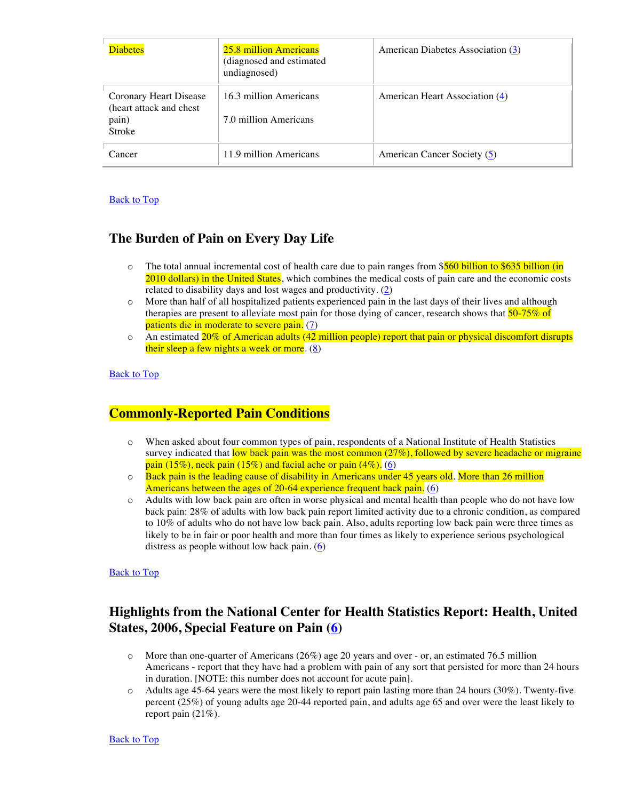| <b>Diabetes</b>                                                              | 25.8 million Americans<br>(diagnosed and estimated<br>undiagnosed) | American Diabetes Association (3) |
|------------------------------------------------------------------------------|--------------------------------------------------------------------|-----------------------------------|
| <b>Coronary Heart Disease</b><br>(heart attack and chest)<br>pain)<br>Stroke | 16.3 million Americans<br>7.0 million Americans                    | American Heart Association (4)    |
| Cancer                                                                       | 11.9 million Americans                                             | American Cancer Society (5)       |

### Back to Top

## **The Burden of Pain on Every Day Life**

- $\circ$  The total annual incremental cost of health care due to pain ranges from \$560 billion to \$635 billion (in 2010 dollars) in the United States, which combines the medical costs of pain care and the economic costs related to disability days and lost wages and productivity. (2)
- o More than half of all hospitalized patients experienced pain in the last days of their lives and although therapies are present to alleviate most pain for those dying of cancer, research shows that  $50-75\%$  of patients die in moderate to severe pain. (7)
- $\circ$  An estimated 20% of American adults (42 million people) report that pain or physical discomfort disrupts their sleep a few nights a week or more. (8)

### Back to Top

### **Commonly-Reported Pain Conditions**

- o When asked about four common types of pain, respondents of a National Institute of Health Statistics survey indicated that low back pain was the most common  $(27%)$ , followed by severe headache or migraine pain  $(15\%)$ , neck pain  $(15\%)$  and facial ache or pain  $(4\%)$ . (6)
- o Back pain is the leading cause of disability in Americans under 45 years old. More than 26 million Americans between the ages of 20-64 experience frequent back pain. (6)
- o Adults with low back pain are often in worse physical and mental health than people who do not have low back pain: 28% of adults with low back pain report limited activity due to a chronic condition, as compared to 10% of adults who do not have low back pain. Also, adults reporting low back pain were three times as likely to be in fair or poor health and more than four times as likely to experience serious psychological distress as people without low back pain. (6)

### **Back to Top**

## **Highlights from the National Center for Health Statistics Report: Health, United States, 2006, Special Feature on Pain (6)**

- o More than one-quarter of Americans (26%) age 20 years and over or, an estimated 76.5 million Americans - report that they have had a problem with pain of any sort that persisted for more than 24 hours in duration. [NOTE: this number does not account for acute pain].
- $\circ$  Adults age 45-64 years were the most likely to report pain lasting more than 24 hours (30%). Twenty-five percent (25%) of young adults age 20-44 reported pain, and adults age 65 and over were the least likely to report pain (21%).

#### Back to Top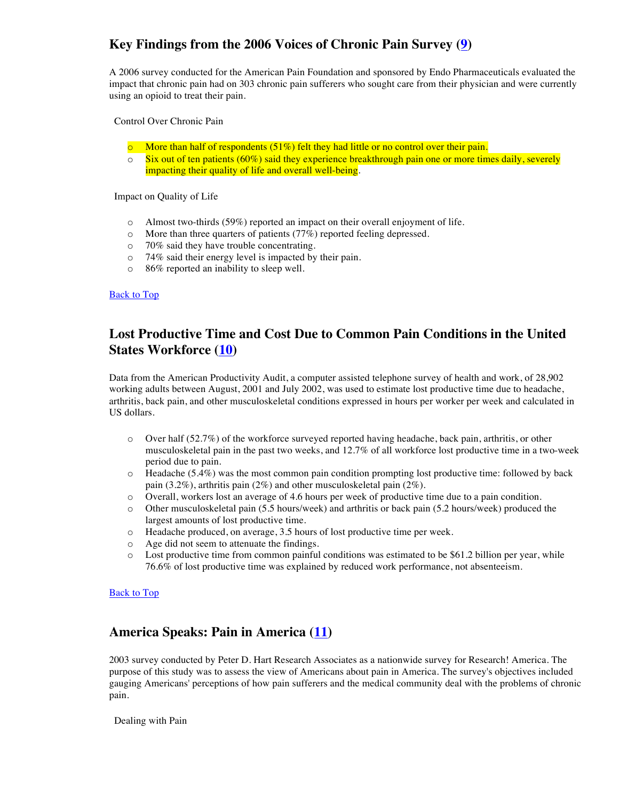## **Key Findings from the 2006 Voices of Chronic Pain Survey (9)**

A 2006 survey conducted for the American Pain Foundation and sponsored by Endo Pharmaceuticals evaluated the impact that chronic pain had on 303 chronic pain sufferers who sought care from their physician and were currently using an opioid to treat their pain.

Control Over Chronic Pain

- $\circ$  More than half of respondents (51%) felt they had little or no control over their pain.
- $\circ$  Six out of ten patients (60%) said they experience breakthrough pain one or more times daily, severely impacting their quality of life and overall well-being.

Impact on Quality of Life

- o Almost two-thirds (59%) reported an impact on their overall enjoyment of life.
- o More than three quarters of patients (77%) reported feeling depressed.
- o 70% said they have trouble concentrating.
- o 74% said their energy level is impacted by their pain.
- o 86% reported an inability to sleep well.

Back to Top

## **Lost Productive Time and Cost Due to Common Pain Conditions in the United States Workforce (10)**

Data from the American Productivity Audit, a computer assisted telephone survey of health and work, of 28,902 working adults between August, 2001 and July 2002, was used to estimate lost productive time due to headache, arthritis, back pain, and other musculoskeletal conditions expressed in hours per worker per week and calculated in US dollars.

- o Over half (52.7%) of the workforce surveyed reported having headache, back pain, arthritis, or other musculoskeletal pain in the past two weeks, and 12.7% of all workforce lost productive time in a two-week period due to pain.
- $\circ$  Headache (5.4%) was the most common pain condition prompting lost productive time: followed by back pain (3.2%), arthritis pain (2%) and other musculoskeletal pain (2%).
- o Overall, workers lost an average of 4.6 hours per week of productive time due to a pain condition.
- o Other musculoskeletal pain (5.5 hours/week) and arthritis or back pain (5.2 hours/week) produced the largest amounts of lost productive time.
- o Headache produced, on average, 3.5 hours of lost productive time per week.
- o Age did not seem to attenuate the findings.
- $\circ$  Lost productive time from common painful conditions was estimated to be \$61.2 billion per year, while 76.6% of lost productive time was explained by reduced work performance, not absenteeism.

**Back to Top** 

## **America Speaks: Pain in America (11)**

2003 survey conducted by Peter D. Hart Research Associates as a nationwide survey for Research! America. The purpose of this study was to assess the view of Americans about pain in America. The survey's objectives included gauging Americans' perceptions of how pain sufferers and the medical community deal with the problems of chronic pain.

Dealing with Pain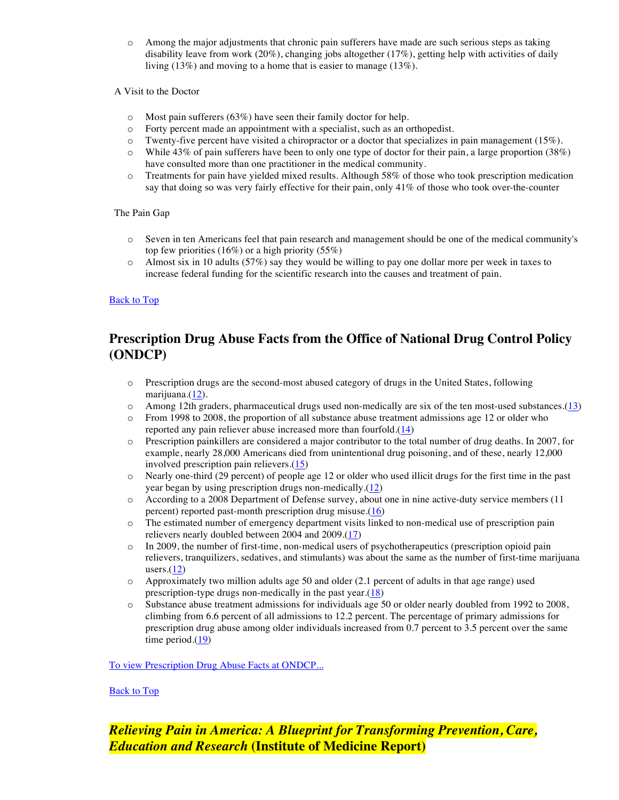o Among the major adjustments that chronic pain sufferers have made are such serious steps as taking disability leave from work (20%), changing jobs altogether (17%), getting help with activities of daily living (13%) and moving to a home that is easier to manage (13%).

### A Visit to the Doctor

- $\circ$  Most pain sufferers (63%) have seen their family doctor for help.
- o Forty percent made an appointment with a specialist, such as an orthopedist.
- $\circ$  Twenty-five percent have visited a chiropractor or a doctor that specializes in pain management (15%).
- $\circ$  While 43% of pain sufferers have been to only one type of doctor for their pain, a large proportion (38%) have consulted more than one practitioner in the medical community.
- o Treatments for pain have yielded mixed results. Although 58% of those who took prescription medication say that doing so was very fairly effective for their pain, only 41% of those who took over-the-counter

#### The Pain Gap

- o Seven in ten Americans feel that pain research and management should be one of the medical community's top few priorities  $(16%)$  or a high priority  $(55%)$
- o Almost six in 10 adults (57%) say they would be willing to pay one dollar more per week in taxes to increase federal funding for the scientific research into the causes and treatment of pain.

#### Back to Top

## **Prescription Drug Abuse Facts from the Office of National Drug Control Policy (ONDCP)**

- o Prescription drugs are the second-most abused category of drugs in the United States, following marijuana.(12).
- o Among 12th graders, pharmaceutical drugs used non-medically are six of the ten most-used substances.(13)
- o From 1998 to 2008, the proportion of all substance abuse treatment admissions age 12 or older who reported any pain reliever abuse increased more than fourfold.(14)
- o Prescription painkillers are considered a major contributor to the total number of drug deaths. In 2007, for example, nearly 28,000 Americans died from unintentional drug poisoning, and of these, nearly 12,000 involved prescription pain relievers.(15)
- o Nearly one-third (29 percent) of people age 12 or older who used illicit drugs for the first time in the past year began by using prescription drugs non-medically.(12)
- o According to a 2008 Department of Defense survey, about one in nine active-duty service members (11 percent) reported past-month prescription drug misuse.(16)
- o The estimated number of emergency department visits linked to non-medical use of prescription pain relievers nearly doubled between 2004 and 2009.(17)
- o In 2009, the number of first-time, non-medical users of psychotherapeutics (prescription opioid pain relievers, tranquilizers, sedatives, and stimulants) was about the same as the number of first-time marijuana users. $(12)$
- $\circ$  Approximately two million adults age 50 and older (2.1 percent of adults in that age range) used prescription-type drugs non-medically in the past year.(18)
- o Substance abuse treatment admissions for individuals age 50 or older nearly doubled from 1992 to 2008, climbing from 6.6 percent of all admissions to 12.2 percent. The percentage of primary admissions for prescription drug abuse among older individuals increased from 0.7 percent to 3.5 percent over the same time period.(19)

To view Prescription Drug Abuse Facts at ONDCP...

### Back to Top

*Relieving Pain in America: A Blueprint for Transforming Prevention, Care, Education and Research* **(Institute of Medicine Report)**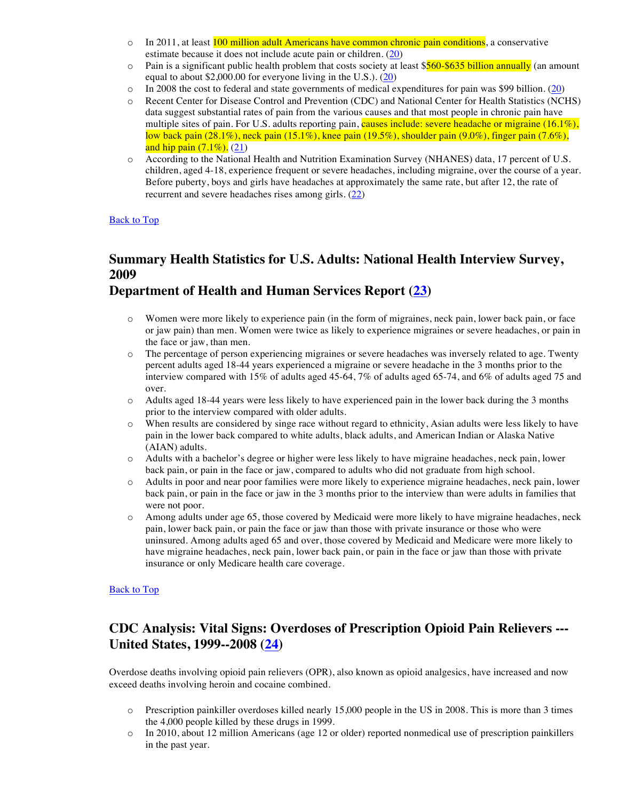- $\circ$  In 2011, at least 100 million adult Americans have common chronic pain conditions, a conservative estimate because it does not include acute pain or children. (20)
- $\circ$  Pain is a significant public health problem that costs society at least \$560-\$635 billion annually (an amount equal to about \$2,000.00 for everyone living in the U.S.). (20)
- o In 2008 the cost to federal and state governments of medical expenditures for pain was \$99 billion. (20)
- o Recent Center for Disease Control and Prevention (CDC) and National Center for Health Statistics (NCHS) data suggest substantial rates of pain from the various causes and that most people in chronic pain have multiple sites of pain. For U.S. adults reporting pain, causes include: severe headache or migraine (16.1%), low back pain (28.1%), neck pain (15.1%), knee pain (19.5%), shoulder pain (9.0%), finger pain (7.6%), and hip pain  $(7.1\%)$ .  $(21)$
- o According to the National Health and Nutrition Examination Survey (NHANES) data, 17 percent of U.S. children, aged 4-18, experience frequent or severe headaches, including migraine, over the course of a year. Before puberty, boys and girls have headaches at approximately the same rate, but after 12, the rate of recurrent and severe headaches rises among girls. (22)

### Back to Top

## **Summary Health Statistics for U.S. Adults: National Health Interview Survey, 2009**

## **Department of Health and Human Services Report (23)**

- o Women were more likely to experience pain (in the form of migraines, neck pain, lower back pain, or face or jaw pain) than men. Women were twice as likely to experience migraines or severe headaches, or pain in the face or jaw, than men.
- o The percentage of person experiencing migraines or severe headaches was inversely related to age. Twenty percent adults aged 18-44 years experienced a migraine or severe headache in the 3 months prior to the interview compared with 15% of adults aged 45-64, 7% of adults aged 65-74, and 6% of adults aged 75 and over.
- o Adults aged 18-44 years were less likely to have experienced pain in the lower back during the 3 months prior to the interview compared with older adults.
- o When results are considered by singe race without regard to ethnicity, Asian adults were less likely to have pain in the lower back compared to white adults, black adults, and American Indian or Alaska Native (AIAN) adults.
- o Adults with a bachelor's degree or higher were less likely to have migraine headaches, neck pain, lower back pain, or pain in the face or jaw, compared to adults who did not graduate from high school.
- o Adults in poor and near poor families were more likely to experience migraine headaches, neck pain, lower back pain, or pain in the face or jaw in the 3 months prior to the interview than were adults in families that were not poor.
- o Among adults under age 65, those covered by Medicaid were more likely to have migraine headaches, neck pain, lower back pain, or pain the face or jaw than those with private insurance or those who were uninsured. Among adults aged 65 and over, those covered by Medicaid and Medicare were more likely to have migraine headaches, neck pain, lower back pain, or pain in the face or jaw than those with private insurance or only Medicare health care coverage.

### Back to Top

## **CDC Analysis: Vital Signs: Overdoses of Prescription Opioid Pain Relievers --- United States, 1999--2008 (24)**

Overdose deaths involving opioid pain relievers (OPR), also known as opioid analgesics, have increased and now exceed deaths involving heroin and cocaine combined.

- o Prescription painkiller overdoses killed nearly 15,000 people in the US in 2008. This is more than 3 times the 4,000 people killed by these drugs in 1999.
- o In 2010, about 12 million Americans (age 12 or older) reported nonmedical use of prescription painkillers in the past year.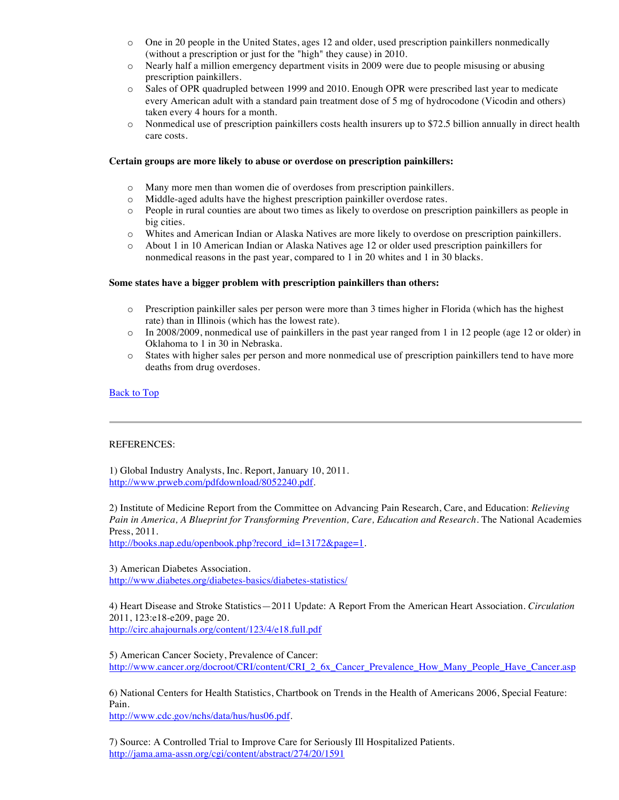- o One in 20 people in the United States, ages 12 and older, used prescription painkillers nonmedically (without a prescription or just for the "high" they cause) in 2010.
- o Nearly half a million emergency department visits in 2009 were due to people misusing or abusing prescription painkillers.
- o Sales of OPR quadrupled between 1999 and 2010. Enough OPR were prescribed last year to medicate every American adult with a standard pain treatment dose of 5 mg of hydrocodone (Vicodin and others) taken every 4 hours for a month.
- o Nonmedical use of prescription painkillers costs health insurers up to \$72.5 billion annually in direct health care costs.

### **Certain groups are more likely to abuse or overdose on prescription painkillers:**

- o Many more men than women die of overdoses from prescription painkillers.
- o Middle-aged adults have the highest prescription painkiller overdose rates.
- o People in rural counties are about two times as likely to overdose on prescription painkillers as people in big cities.
- o Whites and American Indian or Alaska Natives are more likely to overdose on prescription painkillers.
- o About 1 in 10 American Indian or Alaska Natives age 12 or older used prescription painkillers for nonmedical reasons in the past year, compared to 1 in 20 whites and 1 in 30 blacks.

#### **Some states have a bigger problem with prescription painkillers than others:**

- o Prescription painkiller sales per person were more than 3 times higher in Florida (which has the highest rate) than in Illinois (which has the lowest rate).
- o In 2008/2009, nonmedical use of painkillers in the past year ranged from 1 in 12 people (age 12 or older) in Oklahoma to 1 in 30 in Nebraska.
- o States with higher sales per person and more nonmedical use of prescription painkillers tend to have more deaths from drug overdoses.

### Back to Top

### REFERENCES:

1) Global Industry Analysts, Inc. Report, January 10, 2011. http://www.prweb.com/pdfdownload/8052240.pdf.

2) Institute of Medicine Report from the Committee on Advancing Pain Research, Care, and Education: *Relieving Pain in America, A Blueprint for Transforming Prevention, Care, Education and Research*. The National Academies Press, 2011.

http://books.nap.edu/openbook.php?record\_id=13172&page=1.

3) American Diabetes Association. http://www.diabetes.org/diabetes-basics/diabetes-statistics/

4) Heart Disease and Stroke Statistics—2011 Update: A Report From the American Heart Association. *Circulation*  2011, 123:e18-e209, page 20. http://circ.ahajournals.org/content/123/4/e18.full.pdf

5) American Cancer Society, Prevalence of Cancer: http://www.cancer.org/docroot/CRI/content/CRI\_2\_6x\_Cancer\_Prevalence\_How\_Many\_People\_Have\_Cancer.asp

6) National Centers for Health Statistics, Chartbook on Trends in the Health of Americans 2006, Special Feature: Pain.

http://www.cdc.gov/nchs/data/hus/hus06.pdf.

7) Source: A Controlled Trial to Improve Care for Seriously Ill Hospitalized Patients. http://jama.ama-assn.org/cgi/content/abstract/274/20/1591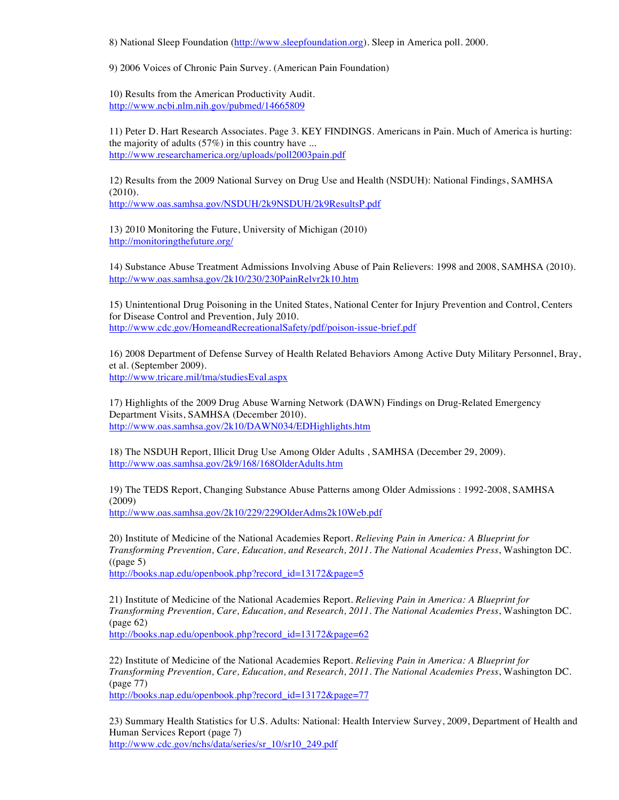8) National Sleep Foundation (http://www.sleepfoundation.org). Sleep in America poll. 2000.

9) 2006 Voices of Chronic Pain Survey. (American Pain Foundation)

10) Results from the American Productivity Audit. http://www.ncbi.nlm.nih.gov/pubmed/14665809

11) Peter D. Hart Research Associates. Page 3. KEY FINDINGS. Americans in Pain. Much of America is hurting: the majority of adults  $(57%)$  in this country have ... http://www.researchamerica.org/uploads/poll2003pain.pdf

12) Results from the 2009 National Survey on Drug Use and Health (NSDUH): National Findings, SAMHSA (2010).

http://www.oas.samhsa.gov/NSDUH/2k9NSDUH/2k9ResultsP.pdf

13) 2010 Monitoring the Future, University of Michigan (2010) http://monitoringthefuture.org/

14) Substance Abuse Treatment Admissions Involving Abuse of Pain Relievers: 1998 and 2008, SAMHSA (2010). http://www.oas.samhsa.gov/2k10/230/230PainRelvr2k10.htm

15) Unintentional Drug Poisoning in the United States, National Center for Injury Prevention and Control, Centers for Disease Control and Prevention, July 2010. http://www.cdc.gov/HomeandRecreationalSafety/pdf/poison-issue-brief.pdf

16) 2008 Department of Defense Survey of Health Related Behaviors Among Active Duty Military Personnel, Bray, et al. (September 2009). http://www.tricare.mil/tma/studiesEval.aspx

17) Highlights of the 2009 Drug Abuse Warning Network (DAWN) Findings on Drug-Related Emergency Department Visits, SAMHSA (December 2010). http://www.oas.samhsa.gov/2k10/DAWN034/EDHighlights.htm

18) The NSDUH Report, Illicit Drug Use Among Older Adults , SAMHSA (December 29, 2009). http://www.oas.samhsa.gov/2k9/168/168OlderAdults.htm

19) The TEDS Report, Changing Substance Abuse Patterns among Older Admissions : 1992-2008, SAMHSA (2009) http://www.oas.samhsa.gov/2k10/229/229OlderAdms2k10Web.pdf

20) Institute of Medicine of the National Academies Report. *Relieving Pain in America: A Blueprint for Transforming Prevention, Care, Education, and Research, 2011. The National Academies Press*, Washington DC.  $((page 5)$ 

http://books.nap.edu/openbook.php?record\_id=13172&page=5

21) Institute of Medicine of the National Academies Report. *Relieving Pain in America: A Blueprint for Transforming Prevention, Care, Education, and Research, 2011. The National Academies Press*, Washington DC. (page 62) http://books.nap.edu/openbook.php?record\_id=13172&page=62

22) Institute of Medicine of the National Academies Report. *Relieving Pain in America: A Blueprint for Transforming Prevention, Care, Education, and Research, 2011. The National Academies Press*, Washington DC. (page 77)

http://books.nap.edu/openbook.php?record\_id=13172&page=77

23) Summary Health Statistics for U.S. Adults: National: Health Interview Survey, 2009, Department of Health and Human Services Report (page 7) http://www.cdc.gov/nchs/data/series/sr\_10/sr10\_249.pdf